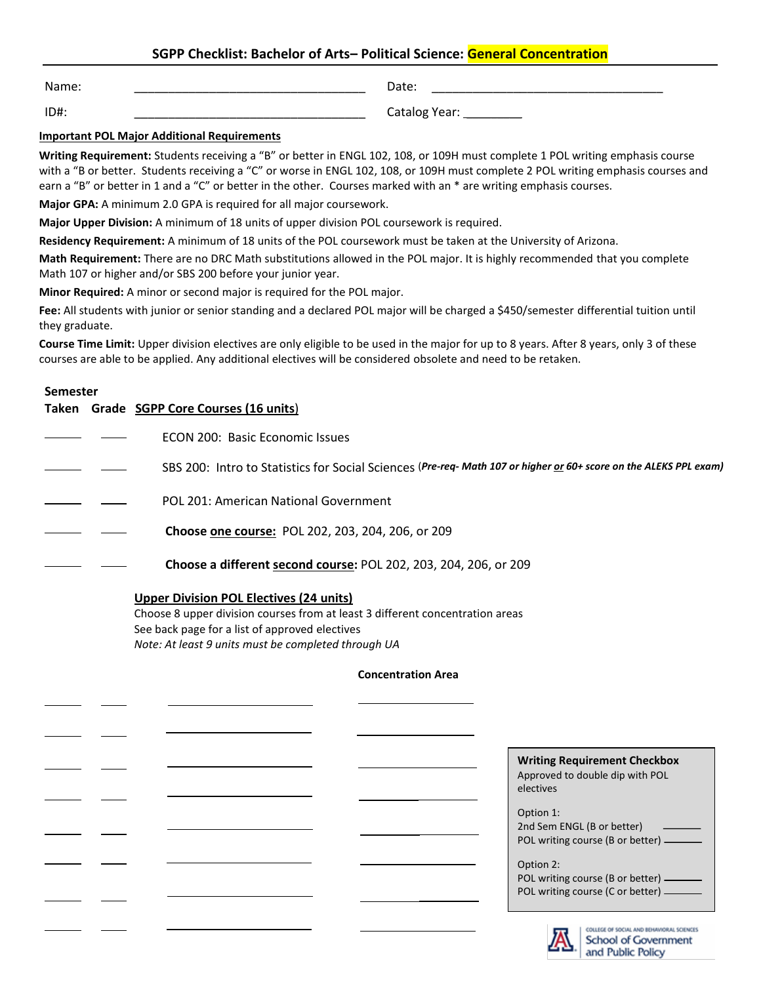# **SGPP Checklist: Bachelor of Arts– Political Science: General Concentration**

Name: \_\_\_\_\_\_\_\_\_\_\_\_\_\_\_\_\_\_\_\_\_\_\_\_\_\_\_\_\_\_\_\_\_\_

Date: \_\_\_\_\_\_\_\_\_\_\_\_\_\_\_\_\_\_\_\_\_\_\_\_\_\_\_\_\_\_\_\_\_\_

ID#: \_\_\_\_\_\_\_\_\_\_\_\_\_\_\_\_\_\_\_\_\_\_\_\_\_\_\_\_\_\_\_\_\_\_

Catalog Year: \_\_\_\_\_\_\_\_\_

### **Important POL Major Additional Requirements**

**Writing Requirement:** Students receiving a "B" or better in ENGL 102, 108, or 109H must complete 1 POL writing emphasis course with a "B or better. Students receiving a "C" or worse in ENGL 102, 108, or 109H must complete 2 POL writing emphasis courses and earn a "B" or better in 1 and a "C" or better in the other. Courses marked with an \* are writing emphasis courses.

**Major GPA:** A minimum 2.0 GPA is required for all major coursework.

**Major Upper Division:** A minimum of 18 units of upper division POL coursework is required.

**Residency Requirement:** A minimum of 18 units of the POL coursework must be taken at the University of Arizona.

**Math Requirement:** There are no DRC Math substitutions allowed in the POL major. It is highly recommended that you complete Math 107 or higher and/or SBS 200 before your junior year.

**Minor Required:** A minor or second major is required for the POL major.

**Fee:** All students with junior or senior standing and a declared POL major will be charged a \$450/semester differential tuition until they graduate.

**Course Time Limit:** Upper division electives are only eligible to be used in the major for up to 8 years. After 8 years, only 3 of these courses are able to be applied. Any additional electives will be considered obsolete and need to be retaken.

### **Semester**

l

|  | Taken Grade SGPP Core Courses (16 units)                                                                         |
|--|------------------------------------------------------------------------------------------------------------------|
|  | ECON 200: Basic Economic Issues                                                                                  |
|  | SBS 200: Intro to Statistics for Social Sciences (Pre-req-Math 107 or higher or 60+ score on the ALEKS PPL exam) |
|  | POL 201: American National Government                                                                            |
|  | <b>Choose one course: POL 202, 203, 204, 206, or 209</b>                                                         |
|  | Choose a different second course: POL 202, 203, 204, 206, or 209                                                 |

### **Upper Division POL Electives (24 units)**

Choose 8 upper division courses from at least 3 different concentration areas See back page for a list of approved electives *Note: At least 9 units must be completed through UA*

### **Concentration Area**

|  | <b>Writing Requirement Checkbox</b><br>Approved to double dip with POL<br>electives |
|--|-------------------------------------------------------------------------------------|
|  | Option 1:                                                                           |
|  | 2nd Sem ENGL (B or better)<br>POL writing course (B or better) ______               |
|  | Option 2:<br>POL writing course (B or better) ______                                |
|  | POL writing course (C or better) ______                                             |
|  | COLLEGE OF SOCIAL AND BEHAVIORAL SCIENCE<br>School of Government                    |

and Public Policy